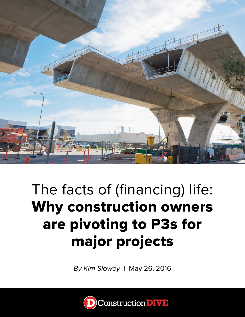

## The facts of (financing) life: Why construction owners are pivoting to P3s for major projects

*By Kim Slowey* | May 26, 2016

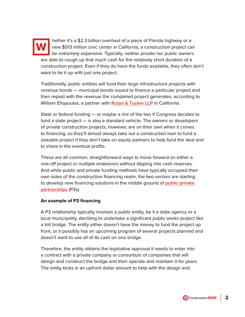

hether it's a \$2.3 billion overhaul of a piece of Florida highway or a new \$513 million civic center in California, a construction project can be extremely expensive. Typically, neither private nor public owners are able to cough up that much cash for the relatively short duration of a construction project. Even if they do have the funds available, they often don't want to tie it up with just one project.

Traditionally, public entities will fund their large infrastructure projects with revenue bonds — municipal bonds issued to finance a particular project and then repaid with the revenue the completed project generates, according to William Eliopoulos, a partner with **[Rutan & Tucker LLP](http://www.rutan.com/)** in California.

State or federal funding — or maybe a mix of the two if Congress decides to fund a state project — is also a standard vehicle. The owners or developers of private construction projects, however, are on their own when it comes to financing, so they'll almost always take out a construction loan to fund a sizeable project if they don't take on equity partners to help fund the deal and to share in the eventual profits.

These are all common, straightforward ways to move forward on either a one-off project or multiple endeavors without dipping into cash reserves. And while public and private funding methods have typically occupied their own sides of the construction financing realm, the two sectors are starting to develop new financing solutions in the middle ground of **[public-private](http://www.constructiondive.com/news/p3s-a-growing-alternative-with-potential-to-capitalize-on-privatized-inno/416190/)  [partnerships](http://www.constructiondive.com/news/p3s-a-growing-alternative-with-potential-to-capitalize-on-privatized-inno/416190/)** (P3s).

#### **An example of P3 financing**

A P3 relationship typically involves a public entity, be it a state agency or a local municipality, deciding to undertake a significant public works project like a toll bridge. The entity either doesn't have the money to fund the project up front, or it possibly has an upcoming program of several projects planned and doesn't want to use all of its cash on one bridge.

Therefore, the entity obtains the legislative approval it needs to enter into a contract with a private company or consortium of companies that will design and construct the bridge and then operate and maintain it for years. The entity kicks in an upfront dollar amount to help with the design and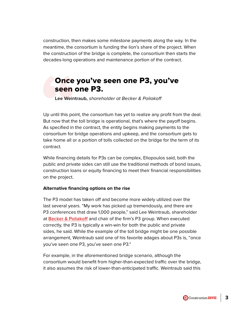construction, then makes some milestone payments along the way. In the meantime, the consortium is funding the lion's share of the project. When the construction of the bridge is complete, the consortium then starts the decades-long operations and maintenance portion of the contract.

### Once you've seen one P3, you've seen one P3.

**Lee Weintraub,** *shareholder at Becker & Poliakoff*

Up until this point, the consortium has yet to realize any profit from the deal. But now that the toll bridge is operational, that's where the payoff begins. As specified in the contract, the entity begins making payments to the consortium for bridge operations and upkeep, and the consortium gets to take home all or a portion of tolls collected on the bridge for the term of its contract. **Once**<br> **Seen**<br>
Lee Weint<br>
Up until this poi<br>
But now that the<br>
As specified in the consortium for l

While financing details for P3s can be complex, Eliopoulos said, both the public and private sides can still use the traditional methods of bond issues, construction loans or equity financing to meet their financial responsibilities on the project.

#### **Alternative financing options on the rise**

The P3 model has taken off and become more widely utilized over the last several years. "My work has picked up tremendously, and there are P3 conferences that draw 1,000 people," said Lee Weintraub, shareholder at **[Becker & Poliakoff](http://www.becker-poliakoff.com/)** and chair of the firm's P3 group. When executed correctly, the P3 is typically a win-win for both the public and private sides, he said. While the example of the toll bridge might be one possible arrangement, Weintraub said one of his favorite adages about P3s is, "once you've seen one P3, you've seen one P3."

For example, in the aforementioned bridge scenario, although the consortium would benefit from higher-than-expected traffic over the bridge, it also assumes the risk of lower-than-anticipated traffic. Weintraub said this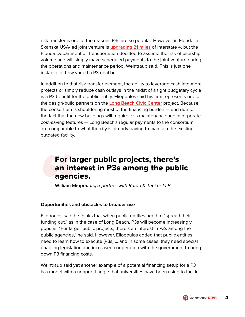risk transfer is one of the reasons P3s are so popular. However, in Florida, a Skanska USA-led joint venture is **[upgrading 21 miles](http://www.constructiondive.com/news/florida-names-skanska-led-team-for-23b-highway-project/254864/)** of Interstate 4, but the Florida Department of Transportation decided to assume the risk of usership volume and will simply make scheduled payments to the joint venture during the operations and maintenance period, Weintraub said. This is just one instance of how varied a P3 deal be.

In addition to that risk transfer element, the ability to leverage cash into more projects or simply reduce cash outlays in the midst of a tight budgetary cycle is a P3 benefit for the public entity. Eliopoulos said his firm represents one of the design-build partners on the **[Long Beach Civic Center](http://www.constructiondive.com/news/long-beach-ca-finalizes-p3-financing-for-513m-civic-center/418077/)** project. Because the consortium is shouldering most of the financing burden — and due to the fact that the new buildings will require less maintenance and incorporate cost-saving features — Long Beach's regular payments to the consortium are comparable to what the city is already paying to maintain the existing outdated facility.

# **For la<br>
an int<br>
agenor<br>
William El<br>
Opportunities ar<br>
Eliopoulos said h** For larger public projects, there's an interest in P3s among the public agencies.

**William Eliopoulos,** *a partner with Rutan & Tucker LLP*

#### **Opportunities and obstacles to broader use**

Eliopoulos said he thinks that when public entities need to "spread their funding out," as in the case of Long Beach, P3s will become increasingly popular. "For larger public projects, there's an interest in P3s among the public agencies," he said. However, Eliopoulos added that public entities need to learn how to execute (P3s) … and in some cases, they need special enabling legislation and increased cooperation with the government to bring down P3 financing costs.

Weintraub said yet another example of a potential financing setup for a P3 is a model with a nonprofit angle that universities have been using to tackle